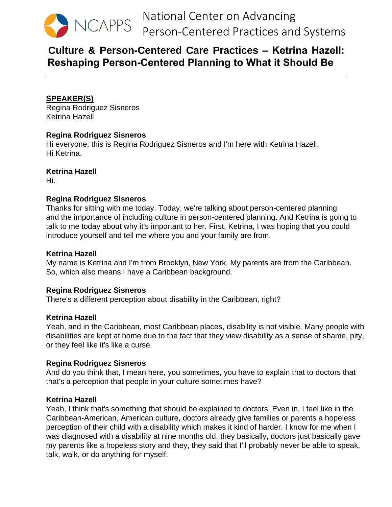

# **Culture & Person-Centered Care Practices – Ketrina Hazell: Reshaping Person-Centered Planning to What it Should Be**

# **SPEAKER(S)**

Regina Rodriguez Sisneros Ketrina Hazell

# **Regina Rodriguez Sisneros**

Hi everyone, this is Regina Rodriguez Sisneros and I'm here with Ketrina Hazell. Hi Ketrina.

# **Ketrina Hazell**

Hi.

# **Regina Rodriguez Sisneros**

Thanks for sitting with me today. Today, we're talking about person-centered planning and the importance of including culture in person-centered planning. And Ketrina is going to talk to me today about why it's important to her. First, Ketrina, I was hoping that you could introduce yourself and tell me where you and your family are from.

# **Ketrina Hazell**

My name is Ketrina and I'm from Brooklyn, New York. My parents are from the Caribbean. So, which also means I have a Caribbean background.

# **Regina Rodriguez Sisneros**

There's a different perception about disability in the Caribbean, right?

# **Ketrina Hazell**

Yeah, and in the Caribbean, most Caribbean places, disability is not visible. Many people with disabilities are kept at home due to the fact that they view disability as a sense of shame, pity, or they feel like it's like a curse.

# **Regina Rodriguez Sisneros**

And do you think that, I mean here, you sometimes, you have to explain that to doctors that that's a perception that people in your culture sometimes have?

# **Ketrina Hazell**

Yeah, I think that's something that should be explained to doctors. Even in, I feel like in the Caribbean-American, American culture, doctors already give families or parents a hopeless perception of their child with a disability which makes it kind of harder. I know for me when I was diagnosed with a disability at nine months old, they basically, doctors just basically gave my parents like a hopeless story and they, they said that I'll probably never be able to speak, talk, walk, or do anything for myself.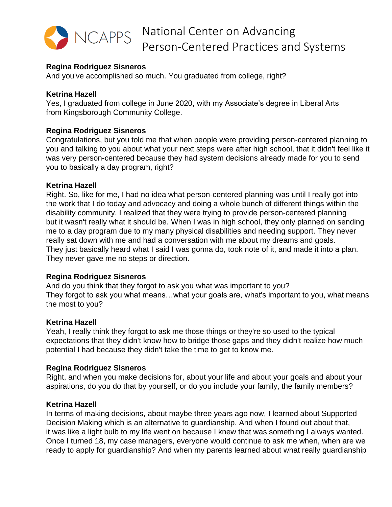

# **Regina Rodriguez Sisneros**

And you've accomplished so much. You graduated from college, right?

# **Ketrina Hazell**

Yes, I graduated from college in June 2020, with my Associate's degree in Liberal Arts from Kingsborough Community College.

# **Regina Rodriguez Sisneros**

Congratulations, but you told me that when people were providing person-centered planning to you and talking to you about what your next steps were after high school, that it didn't feel like it was very person-centered because they had system decisions already made for you to send you to basically a day program, right?

# **Ketrina Hazell**

Right. So, like for me, I had no idea what person-centered planning was until I really got into the work that I do today and advocacy and doing a whole bunch of different things within the disability community. I realized that they were trying to provide person-centered planning but it wasn't really what it should be. When I was in high school, they only planned on sending me to a day program due to my many physical disabilities and needing support. They never really sat down with me and had a conversation with me about my dreams and goals. They just basically heard what I said I was gonna do, took note of it, and made it into a plan. They never gave me no steps or direction.

# **Regina Rodriguez Sisneros**

And do you think that they forgot to ask you what was important to you? They forgot to ask you what means…what your goals are, what's important to you, what means the most to you?

# **Ketrina Hazell**

Yeah, I really think they forgot to ask me those things or they're so used to the typical expectations that they didn't know how to bridge those gaps and they didn't realize how much potential I had because they didn't take the time to get to know me.

# **Regina Rodriguez Sisneros**

Right, and when you make decisions for, about your life and about your goals and about your aspirations, do you do that by yourself, or do you include your family, the family members?

# **Ketrina Hazell**

In terms of making decisions, about maybe three years ago now, I learned about Supported Decision Making which is an alternative to guardianship. And when I found out about that, it was like a light bulb to my life went on because I knew that was something I always wanted. Once I turned 18, my case managers, everyone would continue to ask me when, when are we ready to apply for guardianship? And when my parents learned about what really guardianship